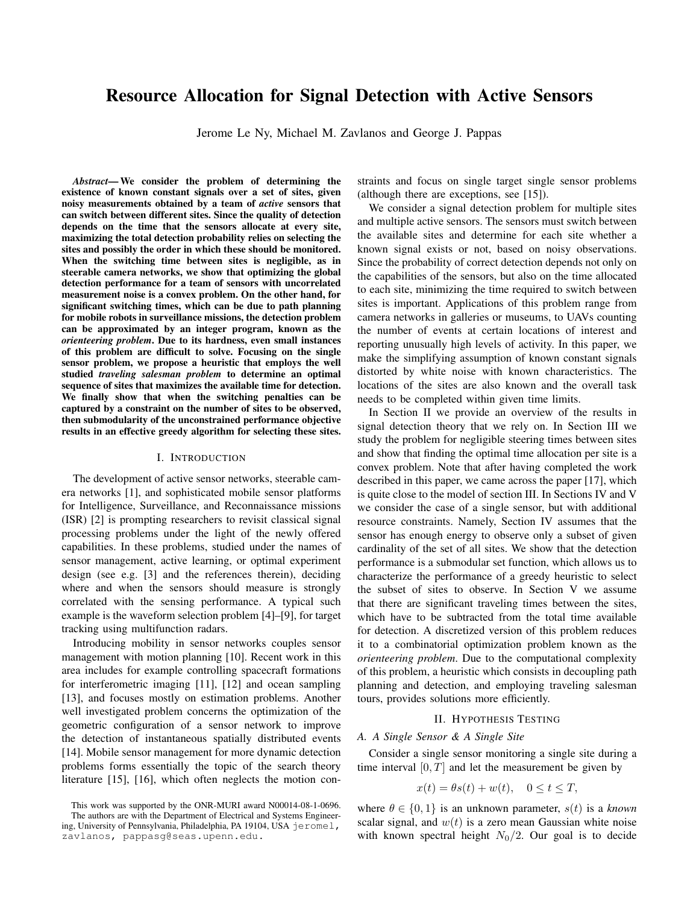# Resource Allocation for Signal Detection with Active Sensors

Jerome Le Ny, Michael M. Zavlanos and George J. Pappas

*Abstract*— We consider the problem of determining the existence of known constant signals over a set of sites, given noisy measurements obtained by a team of *active* sensors that can switch between different sites. Since the quality of detection depends on the time that the sensors allocate at every site, maximizing the total detection probability relies on selecting the sites and possibly the order in which these should be monitored. When the switching time between sites is negligible, as in steerable camera networks, we show that optimizing the global detection performance for a team of sensors with uncorrelated measurement noise is a convex problem. On the other hand, for significant switching times, which can be due to path planning for mobile robots in surveillance missions, the detection problem can be approximated by an integer program, known as the *orienteering problem*. Due to its hardness, even small instances of this problem are difficult to solve. Focusing on the single sensor problem, we propose a heuristic that employs the well studied *traveling salesman problem* to determine an optimal sequence of sites that maximizes the available time for detection. We finally show that when the switching penalties can be captured by a constraint on the number of sites to be observed, then submodularity of the unconstrained performance objective results in an effective greedy algorithm for selecting these sites.

## I. INTRODUCTION

The development of active sensor networks, steerable camera networks [1], and sophisticated mobile sensor platforms for Intelligence, Surveillance, and Reconnaissance missions (ISR) [2] is prompting researchers to revisit classical signal processing problems under the light of the newly offered capabilities. In these problems, studied under the names of sensor management, active learning, or optimal experiment design (see e.g. [3] and the references therein), deciding where and when the sensors should measure is strongly correlated with the sensing performance. A typical such example is the waveform selection problem [4]–[9], for target tracking using multifunction radars.

Introducing mobility in sensor networks couples sensor management with motion planning [10]. Recent work in this area includes for example controlling spacecraft formations for interferometric imaging [11], [12] and ocean sampling [13], and focuses mostly on estimation problems. Another well investigated problem concerns the optimization of the geometric configuration of a sensor network to improve the detection of instantaneous spatially distributed events [14]. Mobile sensor management for more dynamic detection problems forms essentially the topic of the search theory literature [15], [16], which often neglects the motion constraints and focus on single target single sensor problems (although there are exceptions, see [15]).

We consider a signal detection problem for multiple sites and multiple active sensors. The sensors must switch between the available sites and determine for each site whether a known signal exists or not, based on noisy observations. Since the probability of correct detection depends not only on the capabilities of the sensors, but also on the time allocated to each site, minimizing the time required to switch between sites is important. Applications of this problem range from camera networks in galleries or museums, to UAVs counting the number of events at certain locations of interest and reporting unusually high levels of activity. In this paper, we make the simplifying assumption of known constant signals distorted by white noise with known characteristics. The locations of the sites are also known and the overall task needs to be completed within given time limits.

In Section II we provide an overview of the results in signal detection theory that we rely on. In Section III we study the problem for negligible steering times between sites and show that finding the optimal time allocation per site is a convex problem. Note that after having completed the work described in this paper, we came across the paper [17], which is quite close to the model of section III. In Sections IV and V we consider the case of a single sensor, but with additional resource constraints. Namely, Section IV assumes that the sensor has enough energy to observe only a subset of given cardinality of the set of all sites. We show that the detection performance is a submodular set function, which allows us to characterize the performance of a greedy heuristic to select the subset of sites to observe. In Section V we assume that there are significant traveling times between the sites, which have to be subtracted from the total time available for detection. A discretized version of this problem reduces it to a combinatorial optimization problem known as the *orienteering problem*. Due to the computational complexity of this problem, a heuristic which consists in decoupling path planning and detection, and employing traveling salesman tours, provides solutions more efficiently.

#### II. HYPOTHESIS TESTING

## *A. A Single Sensor & A Single Site*

Consider a single sensor monitoring a single site during a time interval  $[0, T]$  and let the measurement be given by

$$
x(t) = \theta s(t) + w(t), \quad 0 \le t \le T,
$$

where  $\theta \in \{0, 1\}$  is an unknown parameter,  $s(t)$  is a *known* scalar signal, and  $w(t)$  is a zero mean Gaussian white noise with known spectral height  $N_0/2$ . Our goal is to decide

This work was supported by the ONR-MURI award N00014-08-1-0696. The authors are with the Department of Electrical and Systems Engineering, University of Pennsylvania, Philadelphia, PA 19104, USA jeromel, zavlanos, pappasg@seas.upenn.edu.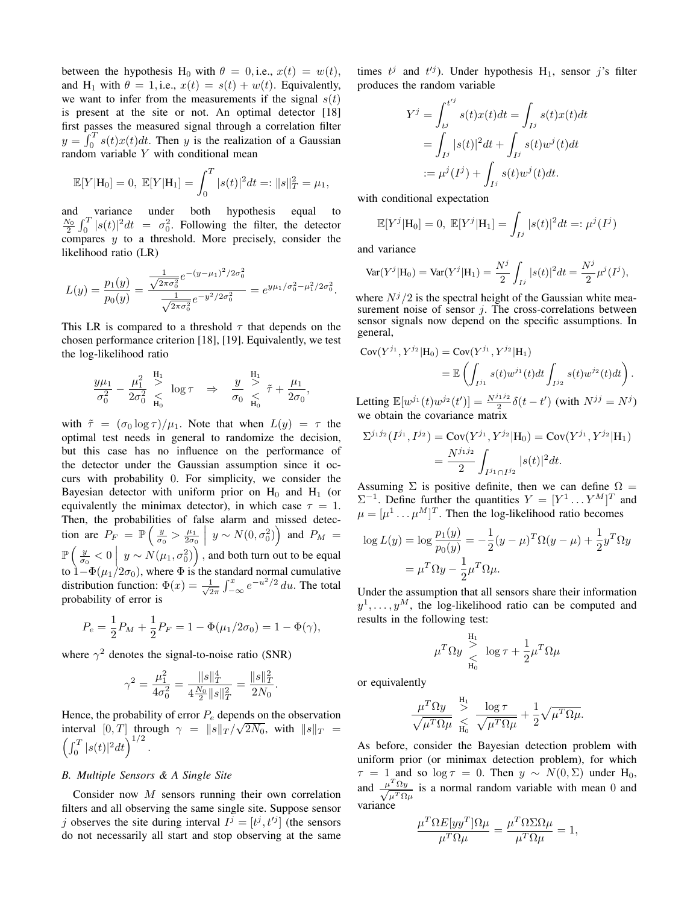between the hypothesis H<sub>0</sub> with  $\theta = 0$ , i.e.,  $x(t) = w(t)$ , and H<sub>1</sub> with  $\theta = 1$ , i.e.,  $x(t) = s(t) + w(t)$ . Equivalently, we want to infer from the measurements if the signal  $s(t)$ is present at the site or not. An optimal detector [18] first passes the measured signal through a correlation filter  $y = \int_0^T s(t)x(t)dt$ . Then y is the realization of a Gaussian random variable Y with conditional mean

$$
\mathbb{E}[Y|\mathbf{H}_0] = 0, \ \mathbb{E}[Y|\mathbf{H}_1] = \int_0^T |s(t)|^2 dt =: ||s||_T^2 = \mu_1,
$$

and variance under both hypothesis equal to  $\frac{N_0}{2} \int_0^T |s(t)|^2 dt = \sigma_0^2$ . Following the filter, the detector compares  $y$  to a threshold. More precisely, consider the likelihood ratio (LR)

$$
L(y) = \frac{p_1(y)}{p_0(y)} = \frac{\frac{1}{\sqrt{2\pi\sigma_0^2}}e^{-(y-\mu_1)^2/2\sigma_0^2}}{\frac{1}{\sqrt{2\pi\sigma_0^2}}e^{-y^2/2\sigma_0^2}} = e^{y\mu_1/\sigma_0^2 - \mu_1^2/2\sigma_0^2}.
$$

This LR is compared to a threshold  $\tau$  that depends on the chosen performance criterion [18], [19]. Equivalently, we test the log-likelihood ratio

$$
\frac{y\mu_1}{\sigma_0^2} - \frac{\mu_1^2}{2\sigma_0^2} \sum_{H_0}^{H_1} \log \tau \quad \Rightarrow \quad \frac{y}{\sigma_0} \sum_{H_0}^{H_1} \tilde{\tau} + \frac{\mu_1}{2\sigma_0},
$$

with  $\tilde{\tau} = (\sigma_0 \log \tau)/\mu_1$ . Note that when  $L(y) = \tau$  the optimal test needs in general to randomize the decision, but this case has no influence on the performance of the detector under the Gaussian assumption since it occurs with probability 0. For simplicity, we consider the Bayesian detector with uniform prior on  $H_0$  and  $H_1$  (or equivalently the minimax detector), in which case  $\tau = 1$ . Then, the probabilities of false alarm and missed detection are  $P_F = \mathbb{P}\left(\frac{y}{\sigma_0} > \frac{\mu_1}{2\sigma_0} \middle| y \sim N(0, \sigma_0^2)\right)$  and  $P_M =$  $\mathbb{P}\left(\frac{y}{\sigma_0} < 0 \bigg| y \sim N(\mu_1, \sigma_0^2)\right)$ , and both turn out to be equal to  $1-\Phi(\mu_1/2\sigma_0)$ , where  $\Phi$  is the standard normal cumulative distribution function:  $\Phi(x) = \frac{1}{\sqrt{2}}$  $\frac{1}{2\pi} \int_{-\infty}^{x} e^{-u^2/2} du$ . The total probability of error is

$$
P_e = \frac{1}{2}P_M + \frac{1}{2}P_F = 1 - \Phi(\mu_1/2\sigma_0) = 1 - \Phi(\gamma),
$$

where  $\gamma^2$  denotes the signal-to-noise ratio (SNR)

$$
\gamma^2 = \frac{\mu_1^2}{4\sigma_0^2} = \frac{\|s\|_T^4}{4\frac{N_0}{2}\|s\|_T^2} = \frac{\|s\|_T^2}{2N_0}.
$$

Hence, the probability of error  $P_e$  depends on the observation interval  $[0, T]$  through  $\gamma = ||s||_T / \sqrt{2N_0}$ , with  $||s||_T =$  $\left(\int_0^T |s(t)|^2 dt\right)^{1/2}$ .

#### *B. Multiple Sensors & A Single Site*

Consider now M sensors running their own correlation filters and all observing the same single site. Suppose sensor j observes the site during interval  $I^j = [t^j, t'^j]$  (the sensors do not necessarily all start and stop observing at the same

times  $t^j$  and  $t'^j$ ). Under hypothesis  $H_1$ , sensor j's filter produces the random variable

$$
Y^{j} = \int_{t^{j}}^{t^{j}} s(t)x(t)dt = \int_{I^{j}} s(t)x(t)dt
$$
  
=  $\int_{I^{j}} |s(t)|^{2}dt + \int_{I^{j}} s(t)w^{j}(t)dt$   
 :=  $\mu^{j}(I^{j}) + \int_{I^{j}} s(t)w^{j}(t)dt$ .

with conditional expectation

$$
\mathbb{E}[Y^j | \mathcal{H}_0] = 0, \ \mathbb{E}[Y^j | \mathcal{H}_1] = \int_{I^j} |s(t)|^2 dt =: \mu^j(I^j)
$$

and variance

$$
\text{Var}(Y^j|\text{H}_0) = \text{Var}(Y^j|\text{H}_1) = \frac{N^j}{2} \int_{I^j} |s(t)|^2 dt = \frac{N^j}{2} \mu^j(I^j),
$$

where  $N^{j}/2$  is the spectral height of the Gaussian white measurement noise of sensor  $j$ . The cross-correlations between sensor signals now depend on the specific assumptions. In general,

$$
Cov(Y^{j_1}, Y^{j_2} | H_0) = Cov(Y^{j_1}, Y^{j_2} | H_1)
$$
  
=  $\mathbb{E} \left( \int_{I^{j_1}} s(t) w^{j_1}(t) dt \int_{I^{j_2}} s(t) w^{j_2}(t) dt \right).$ 

Letting  $\mathbb{E}[w^{j_1}(t)w^{j_2}(t')] = \frac{N^{j_1j_2}}{2} \delta(t-t')$  (with  $N^{jj} = N^{j}$ ) we obtain the covariance matrix

$$
\Sigma^{j_1 j_2}(I^{j_1}, I^{j_2}) = \text{Cov}(Y^{j_1}, Y^{j_2} | \mathbf{H}_0) = \text{Cov}(Y^{j_1}, Y^{j_2} | \mathbf{H}_1)
$$
  
= 
$$
\frac{N^{j_1 j_2}}{2} \int_{I^{j_1} \cap I^{j_2}} |s(t)|^2 dt.
$$

Assuming  $\Sigma$  is positive definite, then we can define  $\Omega =$  $\Sigma^{-1}$ . Define further the quantities  $Y = [Y^1 \dots Y^M]^T$  and  $\mu = [\mu^1 \dots \mu^M]^T$ . Then the log-likelihood ratio becomes

$$
\log L(y) = \log \frac{p_1(y)}{p_0(y)} = -\frac{1}{2}(y - \mu)^T \Omega(y - \mu) + \frac{1}{2}y^T \Omega y
$$

$$
= \mu^T \Omega y - \frac{1}{2} \mu^T \Omega \mu.
$$

Under the assumption that all sensors share their information  $y^1, \ldots, y^M$ , the log-likelihood ratio can be computed and results in the following test:

$$
\mu^T \Omega y \underset{\text{H}_0}{\overset{\text{H}_1}{\geq}} \log \tau + \frac{1}{2} \mu^T \Omega \mu
$$

or equivalently

$$
\frac{\mu^T \Omega y}{\sqrt{\mu^T \Omega \mu}} \underset{\text{H}_0}{\overset{\text{H}_1}{\geq}} \frac{\log \tau}{\sqrt{\mu^T \Omega \mu}} + \frac{1}{2} \sqrt{\mu^T \Omega \mu}.
$$

As before, consider the Bayesian detection problem with uniform prior (or minimax detection problem), for which  $\tau = 1$  and so log  $\tau = 0$ . Then  $y \sim N(0, \Sigma)$  under H<sub>0</sub>, and  $\frac{\mu^T \Omega y}{\sqrt{T \Omega}}$  $\frac{y-y_2y}{\mu^T \Omega \mu}$  is a normal random variable with mean 0 and variance

$$
\frac{\mu^T \Omega E[yy^T] \Omega \mu}{\mu^T \Omega \mu} = \frac{\mu^T \Omega \Sigma \Omega \mu}{\mu^T \Omega \mu} = 1,
$$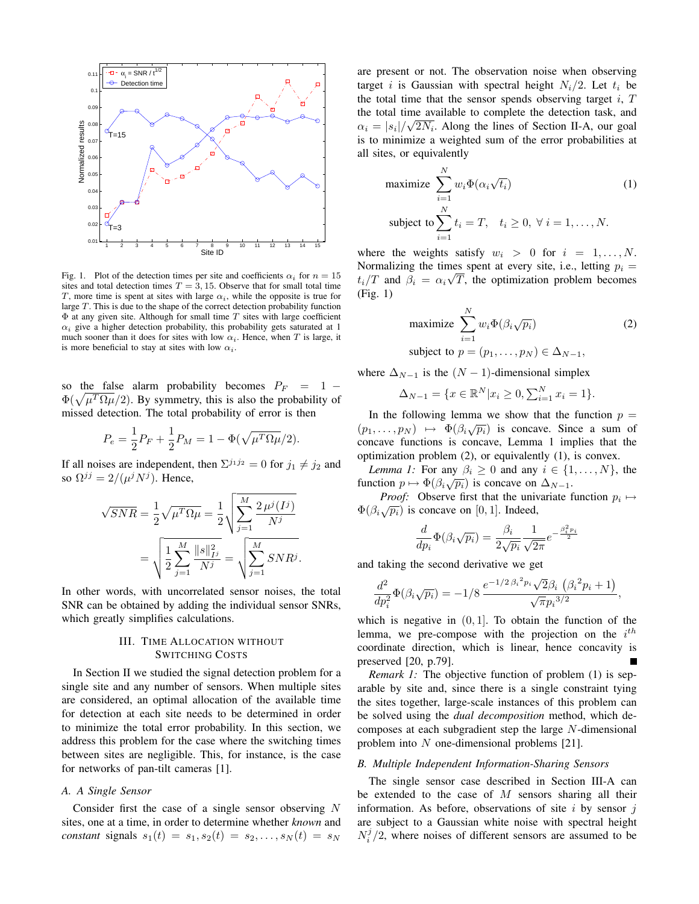

Fig. 1. Plot of the detection times per site and coefficients  $\alpha_i$  for  $n = 15$ sites and total detection times  $T = 3, 15$ . Observe that for small total time T, more time is spent at sites with large  $\alpha_i$ , while the opposite is true for large T. This is due to the shape of the correct detection probability function  $\Phi$  at any given site. Although for small time  $T$  sites with large coefficient  $\alpha_i$  give a higher detection probability, this probability gets saturated at 1 much sooner than it does for sites with low  $\alpha_i$ . Hence, when T is large, it is more beneficial to stay at sites with low  $\alpha_i$ .

so the false alarm probability becomes  $P_F = 1 \Phi(\sqrt{\mu^T \Omega \mu}/2)$ . By symmetry, this is also the probability of missed detection. The total probability of error is then

$$
P_e = \frac{1}{2}P_F + \frac{1}{2}P_M = 1 - \Phi(\sqrt{\mu^T \Omega \mu/2}).
$$

If all noises are independent, then  $\Sigma^{j_1 j_2} = 0$  for  $j_1 \neq j_2$  and so  $\Omega^{jj} = 2/(\mu^j N^j)$ . Hence,

$$
\sqrt{SNR} = \frac{1}{2} \sqrt{\mu^T \Omega \mu} = \frac{1}{2} \sqrt{\sum_{j=1}^M \frac{2 \mu^j (I^j)}{N^j}}
$$

$$
= \sqrt{\frac{1}{2} \sum_{j=1}^M \frac{\|s\|_{I^j}^2}{N^j}} = \sqrt{\sum_{j=1}^M SNR^j}.
$$

In other words, with uncorrelated sensor noises, the total SNR can be obtained by adding the individual sensor SNRs, which greatly simplifies calculations.

## III. TIME ALLOCATION WITHOUT SWITCHING COSTS

In Section II we studied the signal detection problem for a single site and any number of sensors. When multiple sites are considered, an optimal allocation of the available time for detection at each site needs to be determined in order to minimize the total error probability. In this section, we address this problem for the case where the switching times between sites are negligible. This, for instance, is the case for networks of pan-tilt cameras [1].

## *A. A Single Sensor*

Consider first the case of a single sensor observing  $N$ sites, one at a time, in order to determine whether *known* and *constant* signals  $s_1(t) = s_1, s_2(t) = s_2, \ldots, s_N(t) = s_N$ 

are present or not. The observation noise when observing target i is Gaussian with spectral height  $N_i/2$ . Let  $t_i$  be the total time that the sensor spends observing target  $i$ ,  $T$ the total time available to complete the detection task, and  $\alpha_i = |s_i| / \sqrt{2N_i}$ . Along the lines of Section II-A, our goal is to minimize a weighted sum of the error probabilities at all sites, or equivalently

maximize 
$$
\sum_{i=1}^{N} w_i \Phi(\alpha_i \sqrt{t_i})
$$
(1)  
subject to 
$$
\sum_{i=1}^{N} t_i = T, \quad t_i \ge 0, \forall i = 1, ..., N.
$$

where the weights satisfy  $w_i > 0$  for  $i = 1, ..., N$ . Normalizing the times spent at every site, i.e., letting  $p_i =$  $t_i/T$  and  $\beta_i = \alpha_i \sqrt{T}$ , the optimization problem becomes (Fig. 1)

maximize 
$$
\sum_{i=1}^{N} w_i \Phi(\beta_i \sqrt{p_i})
$$
  
subject to  $p = (p_1, ..., p_N) \in \Delta_{N-1}$ , (2)

where  $\Delta_{N-1}$  is the  $(N-1)$ -dimensional simplex

$$
\Delta_{N-1} = \{ x \in \mathbb{R}^N | x_i \ge 0, \sum_{i=1}^N x_i = 1 \}.
$$

In the following lemma we show that the function  $p =$ (p<sub>1</sub>, ...,  $p_N$ )  $\mapsto$   $\Phi(\beta_i\sqrt{p_i})$  is concave. Since a sum of concave functions is concave, Lemma 1 implies that the optimization problem (2), or equivalently (1), is convex.

*Lemma 1:* For any  $\beta_i \geq 0$  and any  $i \in \{1, ..., N\}$ , the EXEMINE 1. For any  $\beta_i \ge 0$  and any  $i \in \{1\}$ <br>function  $p \mapsto \Phi(\beta_i\sqrt{p_i})$  is concave on  $\Delta_{N-1}$ .

*Proof:* Observe first that the univariate function  $p_i \mapsto$  $\Phi(\beta_i\sqrt{p_i})$  is concave on [0, 1]. Indeed,

$$
\frac{d}{dp_i}\Phi(\beta_i\sqrt{p_i}) = \frac{\beta_i}{2\sqrt{p_i}}\frac{1}{\sqrt{2\pi}}e^{-\frac{\beta_i^2 p_i}{2}}
$$

and taking the second derivative we get

$$
\frac{d^2}{dp_i^2}\Phi(\beta_i\sqrt{p_i}) = -1/8 \frac{e^{-1/2\beta_i^2 p_i}\sqrt{2}\beta_i\left(\beta_i^2 p_i + 1\right)}{\sqrt{\pi}p_i^{3/2}},
$$

which is negative in  $(0, 1]$ . To obtain the function of the lemma, we pre-compose with the projection on the  $i^{th}$ coordinate direction, which is linear, hence concavity is preserved [20, p.79]. П

*Remark 1:* The objective function of problem (1) is separable by site and, since there is a single constraint tying the sites together, large-scale instances of this problem can be solved using the *dual decomposition* method, which decomposes at each subgradient step the large N-dimensional problem into N one-dimensional problems [21].

## *B. Multiple Independent Information-Sharing Sensors*

The single sensor case described in Section III-A can be extended to the case of  $M$  sensors sharing all their information. As before, observations of site  $i$  by sensor  $j$ are subject to a Gaussian white noise with spectral height  $N_i^j/2$ , where noises of different sensors are assumed to be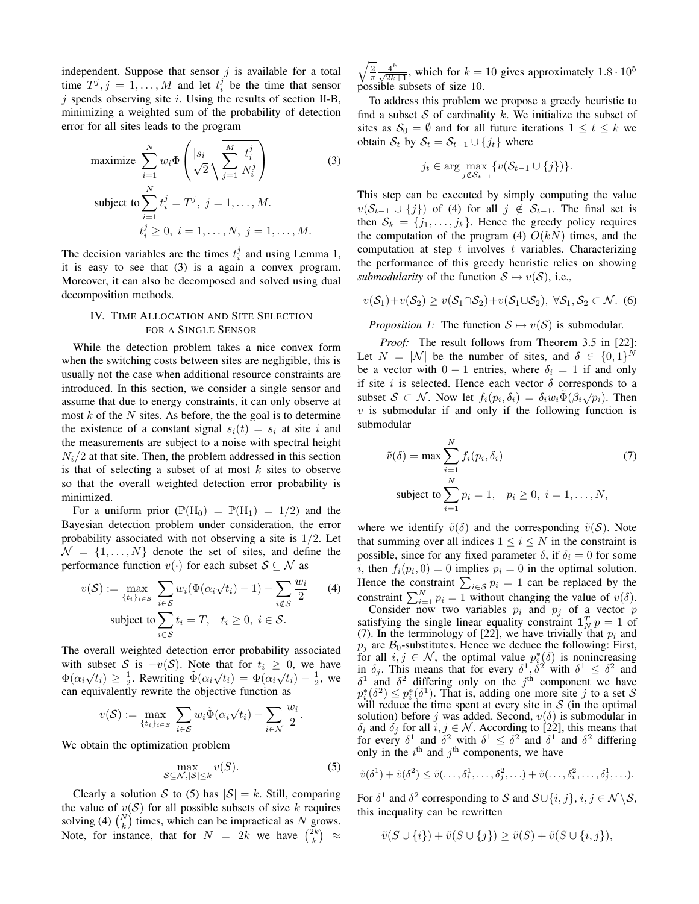independent. Suppose that sensor  $j$  is available for a total time  $T^j$ ,  $j = 1, ..., M$  and let  $t_i^j$  be the time that sensor  $j$  spends observing site  $i$ . Using the results of section II-B, minimizing a weighted sum of the probability of detection error for all sites leads to the program

maximize 
$$
\sum_{i=1}^{N} w_i \Phi\left(\frac{|s_i|}{\sqrt{2}} \sqrt{\sum_{j=1}^{M} \frac{t_i^j}{N_i^j}}\right)
$$
(3)  
subject to 
$$
\sum_{i=1}^{N} t_i^j = T^j, j = 1, ..., M.
$$

$$
t_i^j \ge 0, i = 1, ..., N, j = 1, ..., M.
$$

The decision variables are the times  $t_i^j$  and using Lemma 1, it is easy to see that (3) is a again a convex program. Moreover, it can also be decomposed and solved using dual decomposition methods.

# IV. TIME ALLOCATION AND SITE SELECTION FOR A SINGLE SENSOR

While the detection problem takes a nice convex form when the switching costs between sites are negligible, this is usually not the case when additional resource constraints are introduced. In this section, we consider a single sensor and assume that due to energy constraints, it can only observe at most  $k$  of the  $N$  sites. As before, the the goal is to determine the existence of a constant signal  $s_i(t) = s_i$  at site i and the measurements are subject to a noise with spectral height  $N_i/2$  at that site. Then, the problem addressed in this section is that of selecting a subset of at most  $k$  sites to observe so that the overall weighted detection error probability is minimized.

For a uniform prior  $(\mathbb{P}(\mathbf{H}_0) = \mathbb{P}(\mathbf{H}_1) = 1/2)$  and the Bayesian detection problem under consideration, the error probability associated with not observing a site is  $1/2$ . Let  $\mathcal{N} = \{1, \ldots, N\}$  denote the set of sites, and define the performance function  $v(\cdot)$  for each subset  $S \subseteq \mathcal{N}$  as

$$
v(S) := \max_{\{t_i\}_{i \in S}} \sum_{i \in S} w_i (\Phi(\alpha_i \sqrt{t_i}) - 1) - \sum_{i \notin S} \frac{w_i}{2}
$$
 (4)  
subject to 
$$
\sum_{i \in S} t_i = T, \quad t_i \ge 0, \ i \in S.
$$

The overall weighted detection error probability associated with subset S is  $-v(S)$ . Note that for  $t_i \geq 0$ , we have  $\Phi(\alpha_i\sqrt{t_i}) \geq \frac{1}{2}$ . Rewriting  $\tilde{\Phi}(\alpha_i\sqrt{t_i}) = \Phi(\alpha_i\sqrt{t_i}) - \frac{1}{2}$ , we can equivalently rewrite the objective function as

$$
v(\mathcal{S}) := \max_{\{t_i\}_{i \in \mathcal{S}}} \sum_{i \in \mathcal{S}} w_i \tilde{\Phi}(\alpha_i \sqrt{t_i}) - \sum_{i \in \mathcal{N}} \frac{w_i}{2}.
$$

We obtain the optimization problem

$$
\max_{S \subseteq \mathcal{N}, |S| \le k} v(S). \tag{5}
$$

Clearly a solution S to (5) has  $|S| = k$ . Still, comparing the value of  $v(S)$  for all possible subsets of size k requires solving (4)  $\binom{N}{k}$  times, which can be impractical as N grows. Note, for instance, that for  $N = 2k$  we have  $\binom{2k}{k} \approx$ 

 $\sqrt{\frac{2}{\pi}} \frac{4^k}{\sqrt{2k+1}}$ , which for  $k = 10$  gives approximately  $1.8 \cdot 10^5$ possible subsets of size 10.

To address this problem we propose a greedy heuristic to find a subset S of cardinality k. We initialize the subset of sites as  $S_0 = \emptyset$  and for all future iterations  $1 \le t \le k$  we obtain  $S_t$  by  $S_t = S_{t-1} \cup \{j_t\}$  where

$$
j_t \in \arg\max_{j \notin \mathcal{S}_{t-1}} \{v(\mathcal{S}_{t-1} \cup \{j\})\}.
$$

This step can be executed by simply computing the value  $v(S_{t-1} \cup \{j\})$  of (4) for all  $j \notin S_{t-1}$ . The final set is then  $S_k = \{j_1, \ldots, j_k\}$ . Hence the greedy policy requires the computation of the program (4)  $O(kN)$  times, and the computation at step  $t$  involves  $t$  variables. Characterizing the performance of this greedy heuristic relies on showing *submodularity* of the function  $S \mapsto v(S)$ , i.e.,

$$
v(S_1)+v(S_2) \ge v(S_1 \cap S_2)+v(S_1 \cup S_2), \ \forall S_1, S_2 \subset \mathcal{N}.
$$
 (6)

*Proposition 1:* The function  $S \mapsto v(S)$  is submodular.

*Proof:* The result follows from Theorem 3.5 in [22]: Let  $N = |\mathcal{N}|$  be the number of sites, and  $\delta \in \{0,1\}^N$ be a vector with  $0 - 1$  entries, where  $\delta_i = 1$  if and only if site i is selected. Hence each vector  $\delta$  corresponds to a subset  $S \subset \mathcal{N}$ . Now let  $f_i(p_i, \delta_i) = \delta_i w_i \tilde{\Phi}(\beta_i \sqrt{p_i})$ . Then  $v$  is submodular if and only if the following function is submodular

$$
\tilde{v}(\delta) = \max \sum_{i=1}^{N} f_i(p_i, \delta_i)
$$
\nsubject to

\n
$$
\sum_{i=1}^{N} p_i = 1, \quad p_i \ge 0, \quad i = 1, \ldots, N,
$$

where we identify  $\tilde{v}(\delta)$  and the corresponding  $\tilde{v}(S)$ . Note that summing over all indices  $1 \leq i \leq N$  in the constraint is possible, since for any fixed parameter  $\delta$ , if  $\delta_i = 0$  for some *i*, then  $f_i(p_i, 0) = 0$  implies  $p_i = 0$  in the optimal solution. Hence the constraint  $\sum_{i \in S} p_i = 1$  can be replaced by the constraint  $\sum_{i=1}^{N} p_i = 1$  without changing the value of  $v(\delta)$ .

Consider now two variables  $p_i$  and  $p_j$  of a vector p satisfying the single linear equality constraint  $\mathbf{1}_N^T p = 1$  of (7). In the terminology of [22], we have trivially that  $p_i$  and  $p_j$  are  $\mathcal{B}_0$ -substitutes. Hence we deduce the following: First, for all  $i, j \in \mathcal{N}$ , the optimal value  $p_{i,\alpha}^*(\delta)$  is nonincreasing in  $\delta_j$ . This means that for every  $\delta^1$ ,  $\delta^2$  with  $\delta^1 \leq \delta^2$  and  $\delta^1$  and  $\delta^2$  differing only on the j<sup>th</sup> component we have  $p_i^*(\delta^2) \leq p_i^*(\delta^1)$ . That is, adding one more site j to a set S will reduce the time spent at every site in  $S$  (in the optimal solution) before j was added. Second,  $v(\delta)$  is submodular in  $\delta_i$  and  $\delta_j$  for all  $i, j \in \mathcal{N}$ . According to [22], this means that for every  $\delta^1$  and  $\delta^2$  with  $\delta^1 \leq \delta^2$  and  $\delta^1$  and  $\delta^2$  differing only in the  $i^{\text{th}}$  and  $j^{\text{th}}$  components, we have

$$
\tilde{v}(\delta^1) + \tilde{v}(\delta^2) \leq \tilde{v}(\ldots, \delta_i^1, \ldots, \delta_j^2, \ldots) + \tilde{v}(\ldots, \delta_i^2, \ldots, \delta_j^1, \ldots).
$$

For  $\delta^1$  and  $\delta^2$  corresponding to S and  $\mathcal{S} \cup \{i, j\}, i, j \in \mathcal{N} \backslash \mathcal{S}$ , this inequality can be rewritten

$$
\tilde{v}(S \cup \{i\}) + \tilde{v}(S \cup \{j\}) \ge \tilde{v}(S) + \tilde{v}(S \cup \{i, j\}),
$$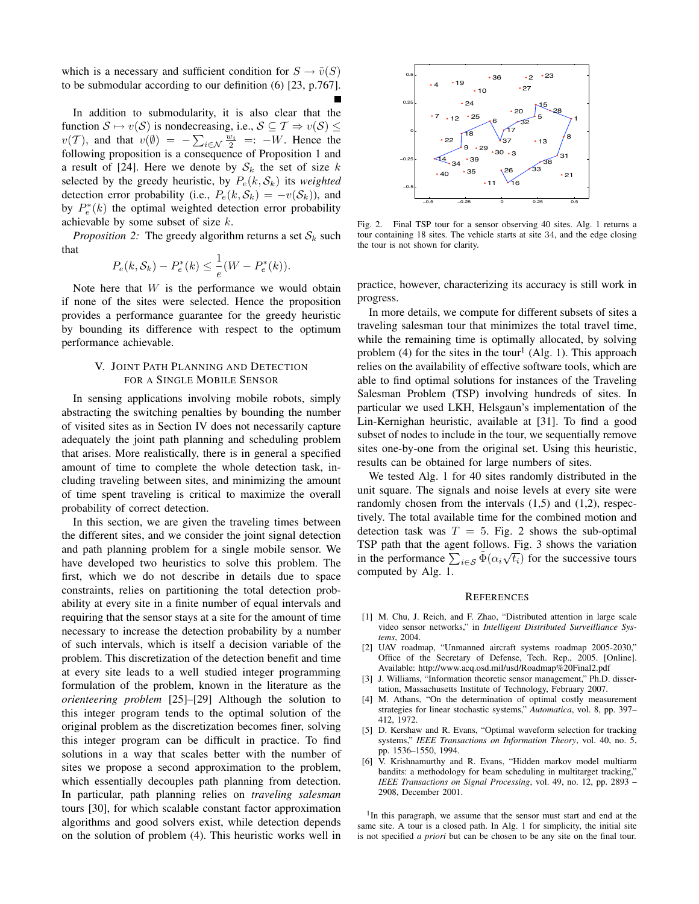which is a necessary and sufficient condition for  $S \to \tilde{v}(S)$ to be submodular according to our definition (6) [23, p.767].

In addition to submodularity, it is also clear that the function  $S \mapsto v(S)$  is nondecreasing, i.e.,  $S \subseteq T \Rightarrow v(S) \leq$  $v(\mathcal{T})$ , and that  $v(\emptyset) = -\sum_{i \in \mathcal{N}} \frac{w_i}{2} =: -W$ . Hence the following proposition is a consequence of Proposition 1 and a result of [24]. Here we denote by  $S_k$  the set of size k selected by the greedy heuristic, by  $P_e(k, S_k)$  its *weighted* detection error probability (i.e.,  $P_e(k, S_k) = -v(S_k)$ ), and by  $P_e^*(k)$  the optimal weighted detection error probability achievable by some subset of size  $k$ .

*Proposition 2:* The greedy algorithm returns a set  $S_k$  such that

$$
P_e(k, S_k) - P_e^*(k) \leq \frac{1}{e}(W - P_e^*(k)).
$$

Note here that  $W$  is the performance we would obtain if none of the sites were selected. Hence the proposition provides a performance guarantee for the greedy heuristic by bounding its difference with respect to the optimum performance achievable.

# V. JOINT PATH PLANNING AND DETECTION FOR A SINGLE MOBILE SENSOR

In sensing applications involving mobile robots, simply abstracting the switching penalties by bounding the number of visited sites as in Section IV does not necessarily capture adequately the joint path planning and scheduling problem that arises. More realistically, there is in general a specified amount of time to complete the whole detection task, including traveling between sites, and minimizing the amount of time spent traveling is critical to maximize the overall probability of correct detection.

In this section, we are given the traveling times between the different sites, and we consider the joint signal detection and path planning problem for a single mobile sensor. We have developed two heuristics to solve this problem. The first, which we do not describe in details due to space constraints, relies on partitioning the total detection probability at every site in a finite number of equal intervals and requiring that the sensor stays at a site for the amount of time necessary to increase the detection probability by a number of such intervals, which is itself a decision variable of the problem. This discretization of the detection benefit and time at every site leads to a well studied integer programming formulation of the problem, known in the literature as the *orienteering problem* [25]–[29] Although the solution to this integer program tends to the optimal solution of the original problem as the discretization becomes finer, solving this integer program can be difficult in practice. To find solutions in a way that scales better with the number of sites we propose a second approximation to the problem, which essentially decouples path planning from detection. In particular, path planning relies on *traveling salesman* tours [30], for which scalable constant factor approximation algorithms and good solvers exist, while detection depends on the solution of problem (4). This heuristic works well in



Fig. 2. Final TSP tour for a sensor observing 40 sites. Alg. 1 returns a tour containing 18 sites. The vehicle starts at site 34, and the edge closing the tour is not shown for clarity.

practice, however, characterizing its accuracy is still work in progress.

In more details, we compute for different subsets of sites a traveling salesman tour that minimizes the total travel time, while the remaining time is optimally allocated, by solving problem (4) for the sites in the tour<sup>1</sup> (Alg. 1). This approach relies on the availability of effective software tools, which are able to find optimal solutions for instances of the Traveling Salesman Problem (TSP) involving hundreds of sites. In particular we used LKH, Helsgaun's implementation of the Lin-Kernighan heuristic, available at [31]. To find a good subset of nodes to include in the tour, we sequentially remove sites one-by-one from the original set. Using this heuristic, results can be obtained for large numbers of sites.

We tested Alg. 1 for 40 sites randomly distributed in the unit square. The signals and noise levels at every site were randomly chosen from the intervals (1,5) and (1,2), respectively. The total available time for the combined motion and detection task was  $T = 5$ . Fig. 2 shows the sub-optimal TSP path that the agent follows. Fig. 3 shows the variation in the performance  $\sum_{i \in S} \tilde{\Phi}(\alpha_i \sqrt{t_i})$  for the successive tours computed by Alg. 1.

## **REFERENCES**

- [1] M. Chu, J. Reich, and F. Zhao, "Distributed attention in large scale video sensor networks," in *Intelligent Distributed Surveilliance Systems*, 2004.
- [2] UAV roadmap, "Unmanned aircraft systems roadmap 2005-2030," Office of the Secretary of Defense, Tech. Rep., 2005. [Online]. Available: http://www.acq.osd.mil/usd/Roadmap%20Final2.pdf
- [3] J. Williams, "Information theoretic sensor management," Ph.D. dissertation, Massachusetts Institute of Technology, February 2007.
- [4] M. Athans, "On the determination of optimal costly measurement strategies for linear stochastic systems," *Automatica*, vol. 8, pp. 397– 412, 1972.
- [5] D. Kershaw and R. Evans, "Optimal waveform selection for tracking systems," *IEEE Transactions on Information Theory*, vol. 40, no. 5, pp. 1536–1550, 1994.
- [6] V. Krishnamurthy and R. Evans, "Hidden markov model multiarm bandits: a methodology for beam scheduling in multitarget tracking," *IEEE Transactions on Signal Processing*, vol. 49, no. 12, pp. 2893 – 2908, December 2001.

<sup>1</sup>In this paragraph, we assume that the sensor must start and end at the same site. A tour is a closed path. In Alg. 1 for simplicity, the initial site is not specified *a priori* but can be chosen to be any site on the final tour.